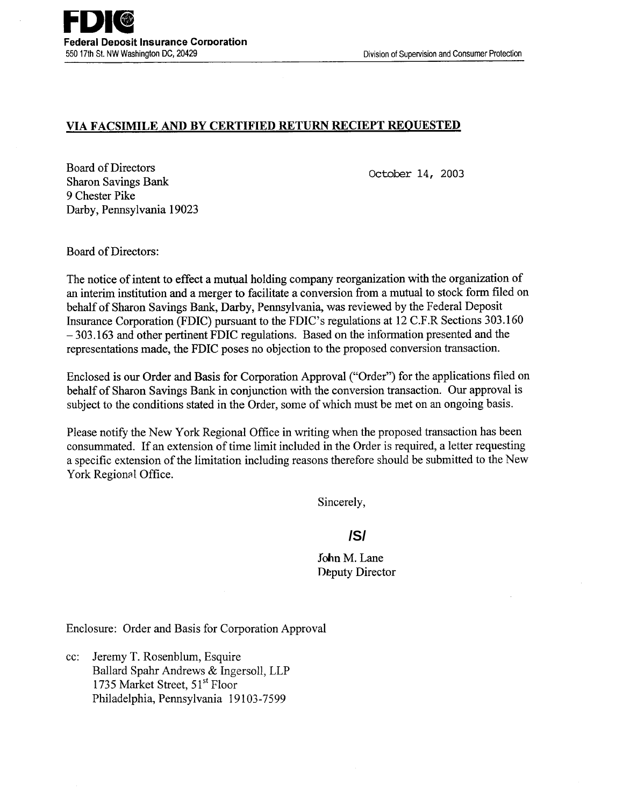## **VIA FACSIMILE AND BY CERTIFIED RETURN RECIEPT REQUESTED**

Board of Directors Sharon Savings Bank 9 Chester Pike Darby, Pennsylvania 19023

October 14, 2003

Board of Directors:

The notice of intent to effect a mutual holding company reorganization with the organization of an interim institution and a merger to facilitate a conversion from a mutual to stock form filed on behalf of Sharon Savings Bank, Darby, Pennsylvania, was reviewed by the Federal Deposit Insurance Corporation (FDIC) pursuant to the FDIC's regulations at 12 C.F.R Sections 303.160 - 303.163 and other pertinent FDIC regulations. Based on the information presented and the representations made, the FDIC poses no objection to the proposed conversion transaction.

Enclosed is our Order and Basis for Corporation Approval ("Order") for the applications filed on behalf of Sharon Savings Bank in conjunction with the conversion transaction. Our approval is subject to the conditions stated in the Order, some of which must be met on an ongoing basis.

Please notify the New York Regional Office in writing when the proposed transaction has been consummated. If an extension of time limit included in the Order is required, a letter requesting a specific extension of the limitation including reasons therefore should be submitted to the New York Regional Office.

Sincerely,

# **/S/**

John M. Lane Deputy Director

Enclosure: Order and Basis for Corporation Approval

cc: Jeremy T. Rosenblum, Esquire Ballard Spahr Andrews & Ingersoll, LLP 1735 Market Street, 51<sup>st</sup> Floor Philadelphia, Pennsylvania 19103-7599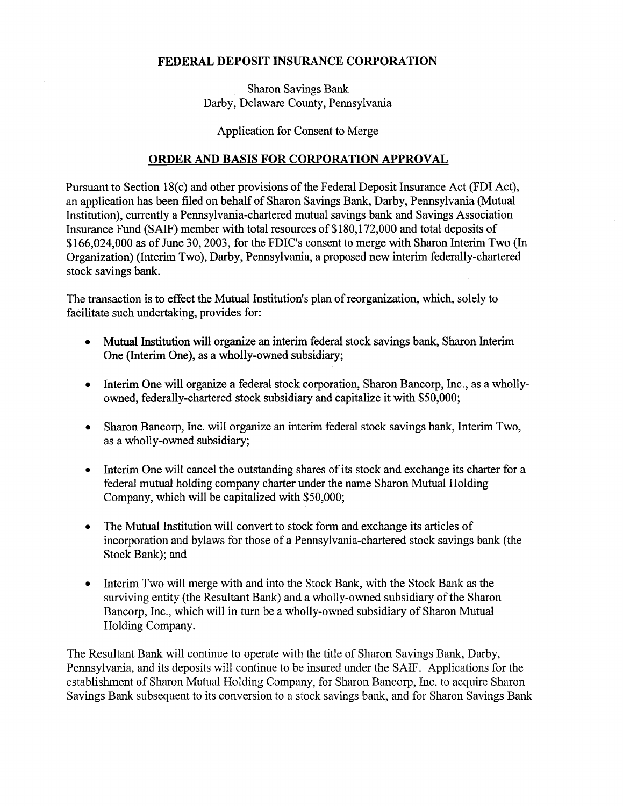## FEDERAL DEPOSIT INSURANCE CORPORATION

Sharon Savings Bank Darby, Delaware County, Pennsylvania

Application for Consent to Merge

#### ORDER AND BASIS FOR CORPORATION APPROVAL

Pursuant to Section 18(c) and other provisions of the Federal Deposit Insurance Act (FDI Act), an application has been filed on behalf of Sharon Savings Bank, Darby, Pennsylvania (Mutual Institution), currently a Pennsylvania-chartered mutual savings bank and Savings Association Insurance Fund (SAIF) member with total resources of \$180,172,000 and total deposits of \$166,024,000 as of June 30,2003, for the FDIC's consent to merge with Sharon Interim Two (In Organization) (Interim Two), Darby, Pennsylvania, a proposed new interim federally-chartered stock savings bank.

The transaction is to effect the Mutual Institution's plan of reorganization, which, solely to facilitate such undertaking, provides for:

- Mutual Institution will organize an interim federal stock savings bank, Sharon Interim One (Interim One), as a wholly-owned subsidiary;
- Interim One will organize a federal stock corporation, Sharon Bancorp, Inc., as a whollyowned, federally-chartered stock subsidiary and capitalize it with \$50,000;
- Sharon Bancorp, Inc. will organize an interim federal stock savings bank, Interim Two, as a wholly-owned subsidiary;
- Interim One will cancel the outstanding shares of its stock and exchange its charter for a federal mutual holding company charter under the name Sharon Mutual Holding Company, which will be capitalized with \$50,000;
- The Mutual Institution will convert to stock form and exchange its articles of incorporation and bylaws for those of a Pennsylvania-chartered stock savings bank (the Stock Bank); and
- Interim Two will merge with and into the Stock Bank, with the Stock Bank as the surviving entity (the Resultant Bank) and a wholly-owned subsidiary of the Sharon Bancorp, Inc., which will in tum be a wholly-owned subsidiary of Sharon Mutual Holding Company.

The Resultant Bank will continue to operate with the title of Sharon Savings Bank, Darby, Pennsylvania, and its deposits will continue to be insured under the SAIF. Applications for the establishment of Sharon Mutual Holding Company, for Sharon Bancorp, Inc. to acquire Sharon Savings Bank subsequent to its conversion to a stock savings bank, and for Sharon Savings Bank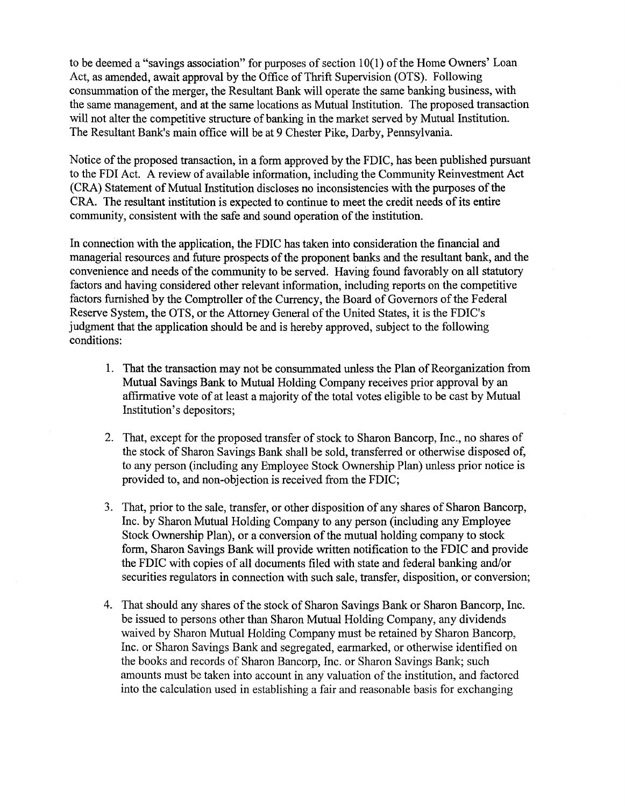to be deemed a "savings association" for purposes of section  $10(1)$  of the Home Owners' Loan Act, as amended, await approval by the Office of Thrift Supervision (OTS). Following consummation of the merger, the Resultant Bank will operate the same banking business, with the same management, and at the same locations as Mutual Institution. The proposed transaction will not alter the competitive structure of banking in the market served by Mutual Institution. The Resultant Bank's main office will be at 9 Chester Pike, Darby, Pennsylvania.

Notice of the proposed transaction, in a form approved by the FDIC, has been published pursuant to the FDI Act. A review of available information, including the Community Reinvestment Act (CRA) Statement of Mutual Institution discloses no inconsistencies with the purposes of the CRA. The resultant institution is expected to continue to meet the credit needs of its entire community, consistent with the safe and sound operation of the institution.

In connection with the application, the FDIC has taken into consideration the financial and managerial resources and future prospects of the proponent banks and the resultant bank, and the convenience and needs of the community to be served. Having found favorably on all statutory factors and having considered other relevant information, including reports on the competitive factors furnished by the Comptroller of the Currency, the Board of Governors of the Federal Reserve System, the OTS, or the Attorney General of the United States, it is the FDIC's judgment that the application should be and is hereby approved, subject to the following conditions:

- 1. That the transaction may not be consummated unless the Plan of Reorganization from Mutual Savings Bank to Mutual Holding Company receives prior approval by an affirmative vote of at least a majority of the total votes eligible to be cast by Mutual Institution's depositors;
- 2. That, except for the proposed transfer of stock to Sharon Bancorp, Inc., no shares of the stock of Sharon Savings Bank shall be sold, transferred or otherwise disposed of, to any person (including any Employee Stock Ownership Plan) unless prior notice is provided to, and non-objection is received from the FDIC;
- 3. That, prior to the sale, transfer, or other disposition of any shares of Sharon Bancorp, Inc. by Sharon Mutual Holding Company to any person (including any Employee Stock Ownership Plan), or a conversion of the mutual holding company to stock form, Sharon Savings Bank will provide written notification to the FDIC and provide the FDIC with copies of all documents filed with state and federal banking and/or securities regulators in connection with such sale, transfer, disposition, or conversion;
- 4. That should any shares of the stock of Sharon Savings Bank or Sharon Bancorp, Inc. be issued to persons other than Sharon Mutual Holding Company, any dividends waived by Sharon Mutual Holding Company must be retained by Sharon Bancorp, Inc. or Sharon Savings Bank and segregated, earmarked, or otherwise identified on the books and records of Sharon Bancorp, Inc. or Sharon Savings Bank; such amounts must be taken into account in any valuation of the institution, and factored into the calculation used in establishing a fair and reasonable basis for exchanging